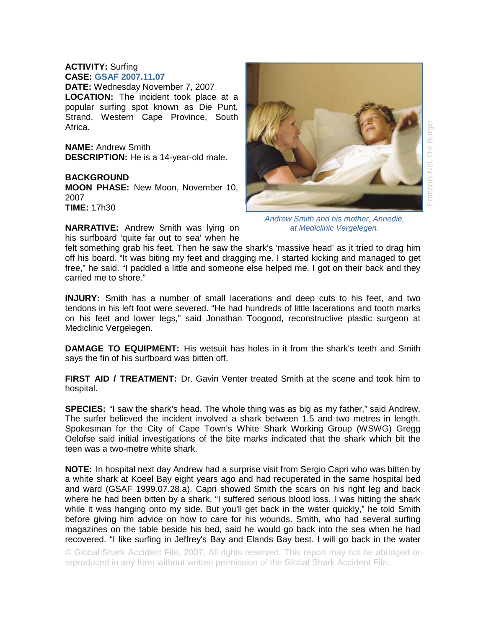## **ACTIVITY:** Surfing

**CASE: GSAF 2007.11.07 DATE:** Wednesday November 7, 2007 **LOCATION:** The incident took place at a popular surfing spot known as Die Punt, Strand, Western Cape Province, South Africa.

**NAME:** Andrew Smith **DESCRIPTION:** He is a 14-year-old male.

## **BACKGROUND**

**MOON PHASE:** New Moon, November 10, 2007 **TIME:** 17h30

*Andrew Smith and his mother, Annedie, at Mediclinic Vergelegen.* 

**NARRATIVE:** Andrew Smith was lying on his surfboard 'quite far out to sea' when he

felt something grab his feet. Then he saw the shark's 'massive head' as it tried to drag him off his board. "It was biting my feet and dragging me. I started kicking and managed to get free," he said. "I paddled a little and someone else helped me. I got on their back and they carried me to shore."

**INJURY:** Smith has a number of small lacerations and deep cuts to his feet, and two tendons in his left foot were severed. "He had hundreds of little lacerations and tooth marks on his feet and lower legs," said Jonathan Toogood, reconstructive plastic surgeon at Mediclinic Vergelegen.

**DAMAGE TO EQUIPMENT:** His wetsuit has holes in it from the shark's teeth and Smith says the fin of his surfboard was bitten off.

**FIRST AID / TREATMENT:** Dr. Gavin Venter treated Smith at the scene and took him to hospital.

**SPECIES:** "I saw the shark's head. The whole thing was as big as my father," said Andrew. The surfer believed the incident involved a shark between 1.5 and two metres in length. Spokesman for the City of Cape Town's White Shark Working Group (WSWG) Gregg Oelofse said initial investigations of the bite marks indicated that the shark which bit the teen was a two-metre white shark.

**NOTE:** In hospital next day Andrew had a surprise visit from Sergio Capri who was bitten by a white shark at Koeel Bay eight years ago and had recuperated in the same hospital bed and ward (GSAF 1999.07.28.a). Capri showed Smith the scars on his right leg and back where he had been bitten by a shark. "I suffered serious blood loss. I was hitting the shark while it was hanging onto my side. But you'll get back in the water quickly," he told Smith before giving him advice on how to care for his wounds. Smith, who had several surfing magazines on the table beside his bed, said he would go back into the sea when he had recovered. "I like surfing in Jeffrey's Bay and Elands Bay best. I will go back in the water

© Global Shark Accident File, 2007. All rights reserved. This report may not be abridged or reproduced in any form without written permission of the Global Shark Accident File.